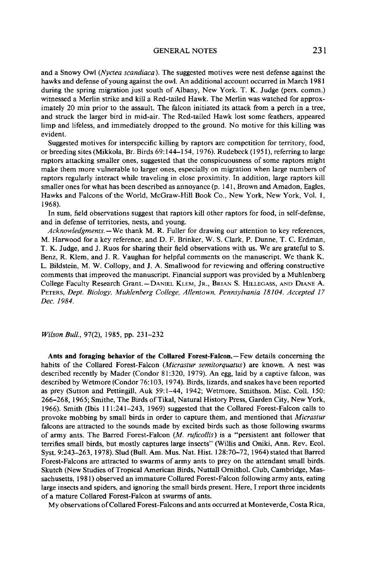## **GENERAL NOTES 231**

and a Snowy Owl (Nyctea scandiaca). The suggested motives were nest defense against the hawks and defense of young against the owl. An additional account occurred in March 1981 **during the spring migration just south of Albany, New York. T. K. Judge (pers. comm.) witnessed a Merlin strike and kill a Red-tailed Hawk. The Merlin was watched for approximately 20 min prior to the assault. The falcon initiated its attack from a perch in a tree, and struck the larger bird in mid-air. The Red-tailed Hawk lost some feathers, appeared limp and lifeless, and immediately dropped to the ground. No motive for this killing was evident.** 

**Suggested motives for interspecific killing by raptors are competition for territory, food, or breeding sites (Mikkola, Br. Birds 69: 144-154, 1976). Rudebeck (195 l), referring to large raptors attacking smaller ones, suggested that the conspicuousness of some raptors might make them more vulnerable to larger ones, especially on migration when large numbers of raptors regularly interact while traveling in close proximity. In addition, large raptors kill smaller ones for what has been described as annoyance (p. 14 1, Brown and Amadon, Eagles, Hawks and Falcons of the World, McGraw-Hill Book Co., New York, New York, Vol. 1, 1968).** 

In sum, field observations suggest that raptors kill other raptors for food, in self-defense, **and in defense of territories, nests, and young.** 

**Acknowledgments. - We thank M. R. Fuller for drawing our attention to key references, M. Harwood for a key reference, and D. F. Brinker, W. S. Clark, P. Dunne, T. C. Erdman, T. K. Judge, and J. Ruos for sharing their field observations with us. We are grateful to S. Benz, R. Klem, and J. R. Vaughan for helpful comments on the manuscript. We thank K. L. Bildstein, M. W. Collopy, and J. A. Smallwood for reviewing and offering constructive comments that improved the manuscript. Financial support was provided by a Muhlenberg College Faculty Research Grant.** - DANIEL KLEM, JR., BRIAN S. HILLEGASS, AND DIANE A. **PETERS, Dept. Biology, Muhlenberg College, Allentown, Pennsylvania 18104. Accepted 17 Dec. 1984.** 

**Wilson Bull., 97(2), 1985, pp. 231-232** 

**Ants and foraging behavior of the Collared Forest-Falcon.-Few details concerning the**  habits of the Collared Forest-Falcon *(Micrastur semitorquatus)* are known. A nest was **described recently by Mader (Condor 8 1:320, 1979). An egg, laid by a captive falcon, was described by Wetmore (Condor 76: 103, 1974). Birds, lizards, and snakes have been reported as prey (Sutton and Pettingill, Auk 59:1-44, 1942; Wetmore, Smithson. Misc. Coll. 150: 266-268, 1965; Smithe, The Birds of Tikal, Natural History Press, Garden City, New York, 1966). Smith (Ibis 111:241-243, 1969) suggested that the Collared Forest-Falcon calls to**  provoke mobbing by small birds in order to capture them, and mentioned that *Micrastur* **falcons are attracted to the sounds made by excited birds such as those following swarms of army ants. The Barred Forest-Falcon (M. ruficollis) is a "persistent ant follower that terrifies small birds, but mostly captures large insects" (Willis and Oniki, Ann. Rev. Ecol. Syst. 9:243-263, 1978). Slud (Bull. Am. Mus. Nat. Hist. 128:70-72, 1964) stated that Barred Forest-Falcons are attracted to swarms of army ants to prey on the attendant small birds. Skutch (New Studies of Tropical American Birds, Nuttall Omithol. Club, Cambridge, Massachusetts, 198 1) observed an immature Collared Forest-Falcon following army ants, eating large insects and spiders, and ignoring the small birds present. Here, I report three incidents of a mature Collared Forest-Falcon at swarms of ants.** 

**My observations ofCollared Forest-Falcons and ants occurred at Monteverde, Costa Rica,**